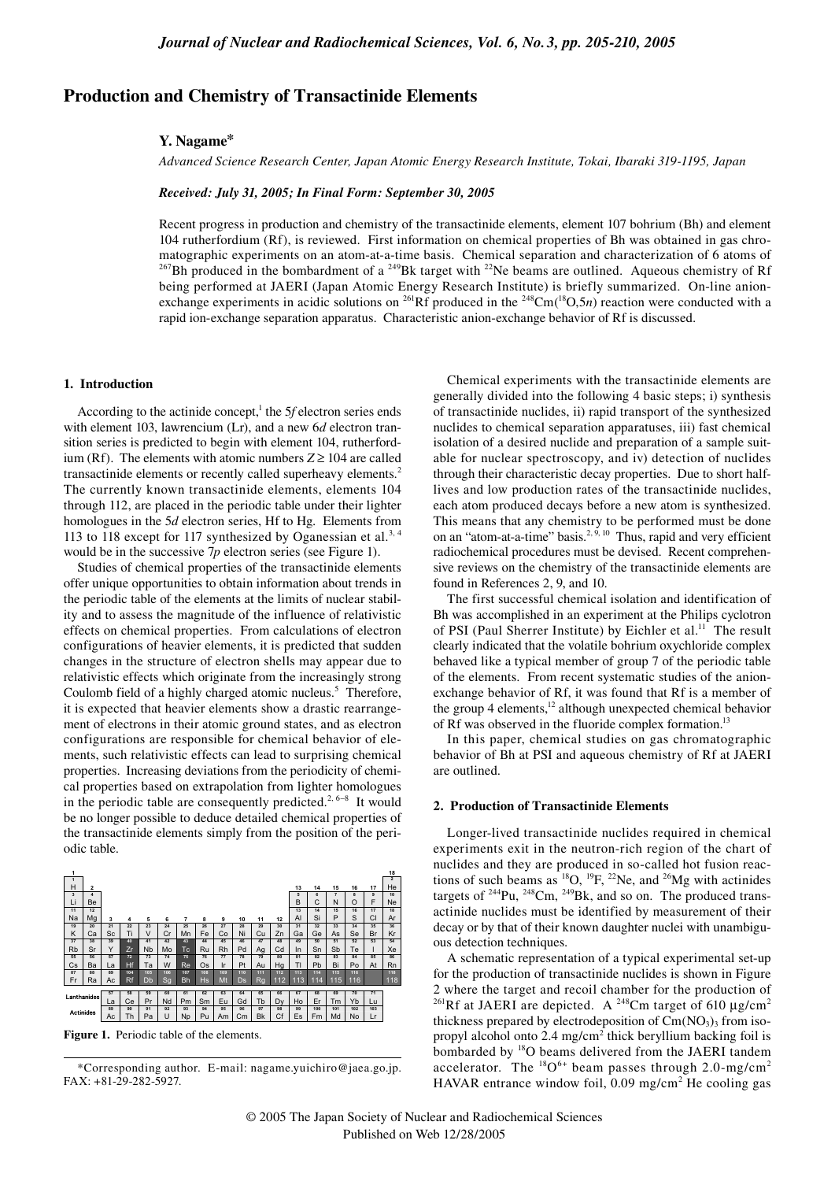# **Production and Chemistry of Transactinide Elements**

## **Y. Nagame\***

*Advanced Science Research Center, Japan Atomic Energy Research Institute, Tokai, Ibaraki 319-1195, Japan* 

*Received: July 31, 2005; In Final Form: September 30, 2005*

Recent progress in production and chemistry of the transactinide elements, element 107 bohrium (Bh) and element 104 rutherfordium (Rf), is reviewed. First information on chemical properties of Bh was obtained in gas chromatographic experiments on an atom-at-a-time basis. Chemical separation and characterization of 6 atoms of <sup>267</sup>Bh produced in the bombardment of a <sup>249</sup>Bk target with <sup>22</sup>Ne beams are outlined. Aqueous chemistry of Rf being performed at JAERI (Japan Atomic Energy Research Institute) is briefly summarized. On-line anionexchange experiments in acidic solutions on <sup>261</sup>Rf produced in the <sup>248</sup>Cm(<sup>18</sup>O,5*n*) reaction were conducted with a rapid ion-exchange separation apparatus. Characteristic anion-exchange behavior of Rf is discussed.

#### **1. Introduction**

According to the actinide concept,<sup>1</sup> the 5*f* electron series ends with element 103, lawrencium (Lr), and a new 6*d* electron transition series is predicted to begin with element 104, rutherfordium (Rf). The elements with atomic numbers  $Z \ge 104$  are called transactinide elements or recently called superheavy elements.<sup>2</sup> The currently known transactinide elements, elements 104 through 112, are placed in the periodic table under their lighter homologues in the 5*d* electron series, Hf to Hg. Elements from 113 to 118 except for 117 synthesized by Oganessian et al.<sup>3, 4</sup> would be in the successive 7*p* electron series (see Figure 1).

Studies of chemical properties of the transactinide elements offer unique opportunities to obtain information about trends in the periodic table of the elements at the limits of nuclear stability and to assess the magnitude of the influence of relativistic effects on chemical properties. From calculations of electron configurations of heavier elements, it is predicted that sudden changes in the structure of electron shells may appear due to relativistic effects which originate from the increasingly strong Coulomb field of a highly charged atomic nucleus.<sup>5</sup> Therefore, it is expected that heavier elements show a drastic rearrangement of electrons in their atomic ground states, and as electron configurations are responsible for chemical behavior of elements, such relativistic effects can lead to surprising chemical properties. Increasing deviations from the periodicity of chemical properties based on extrapolation from lighter homologues in the periodic table are consequently predicted.<sup>2, 6–8</sup> It would be no longer possible to deduce detailed chemical properties of the transactinide elements simply from the position of the periodic table.



**Figure 1.** Periodic table of the elements.

\*Corresponding author. E-mail: nagame.yuichiro@jaea.go.jp. FAX: +81-29-282-5927.

Chemical experiments with the transactinide elements are generally divided into the following 4 basic steps; i) synthesis of transactinide nuclides, ii) rapid transport of the synthesized nuclides to chemical separation apparatuses, iii) fast chemical isolation of a desired nuclide and preparation of a sample suitable for nuclear spectroscopy, and iv) detection of nuclides through their characteristic decay properties. Due to short halflives and low production rates of the transactinide nuclides, each atom produced decays before a new atom is synthesized. This means that any chemistry to be performed must be done on an "atom-at-a-time" basis. $2,9,10$  Thus, rapid and very efficient radiochemical procedures must be devised. Recent comprehensive reviews on the chemistry of the transactinide elements are found in References 2, 9, and 10.

The first successful chemical isolation and identification of Bh was accomplished in an experiment at the Philips cyclotron of PSI (Paul Sherrer Institute) by Eichler et al.<sup>11</sup> The result clearly indicated that the volatile bohrium oxychloride complex behaved like a typical member of group 7 of the periodic table of the elements. From recent systematic studies of the anionexchange behavior of Rf, it was found that Rf is a member of the group 4 elements,<sup>12</sup> although unexpected chemical behavior of Rf was observed in the fluoride complex formation.<sup>13</sup>

In this paper, chemical studies on gas chromatographic behavior of Bh at PSI and aqueous chemistry of Rf at JAERI are outlined.

#### **2. Production of Transactinide Elements**

Longer-lived transactinide nuclides required in chemical experiments exit in the neutron-rich region of the chart of nuclides and they are produced in so-called hot fusion reactions of such beams as  $^{18}O$ ,  $^{19}F$ ,  $^{22}Ne$ , and  $^{26}Mg$  with actinides targets of  $244$ Pu,  $248$ Cm,  $249$ Bk, and so on. The produced transactinide nuclides must be identified by measurement of their decay or by that of their known daughter nuclei with unambiguous detection techniques.

A schematic representation of a typical experimental set-up for the production of transactinide nuclides is shown in Figure 2 where the target and recoil chamber for the production of <sup>261</sup>Rf at JAERI are depicted. A <sup>248</sup>Cm target of 610  $\mu$ g/cm<sup>2</sup> thickness prepared by electrodeposition of  $Cm(NO<sub>3</sub>)<sub>3</sub>$  from isopropyl alcohol onto 2.4 mg/cm<sup>2</sup> thick beryllium backing foil is bombarded by 18O beams delivered from the JAERI tandem accelerator. The  ${}^{18}O^{6+}$  beam passes through 2.0-mg/cm<sup>2</sup> HAVAR entrance window foil, 0.09 mg/cm<sup>2</sup> He cooling gas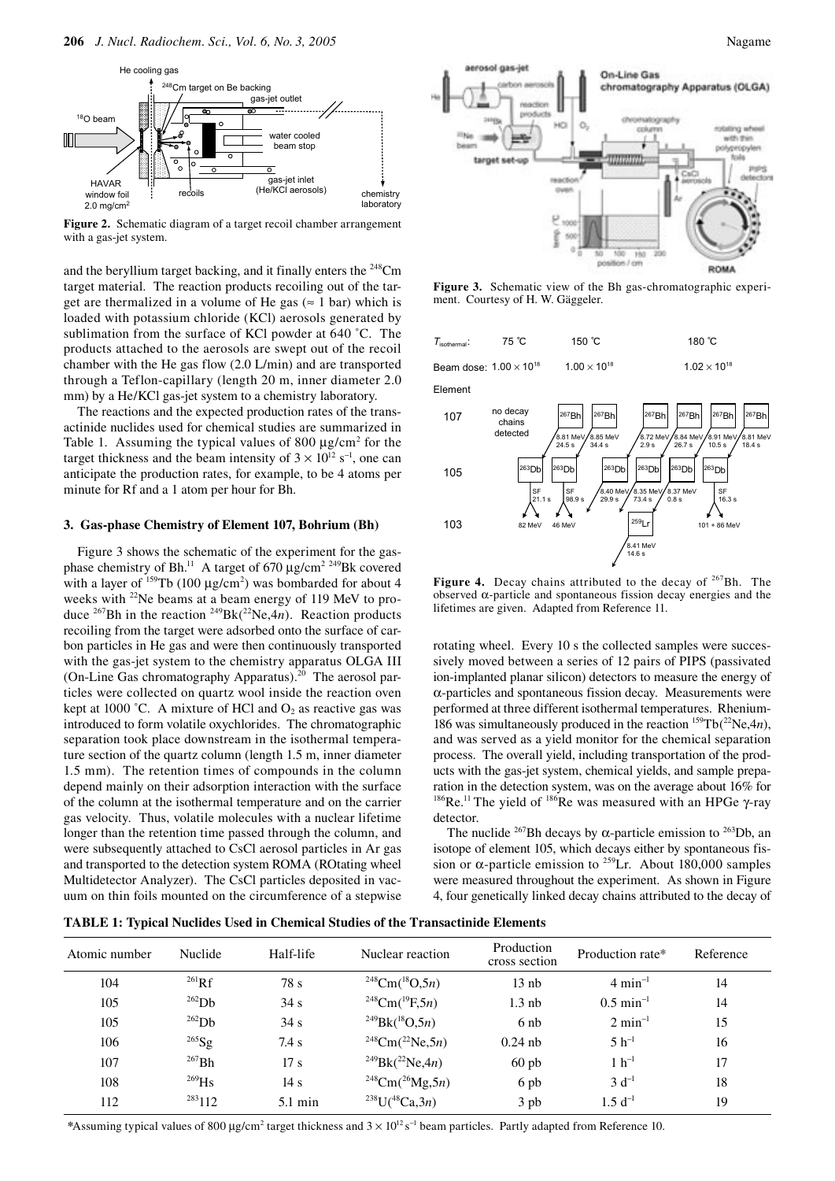

**Figure 2.** Schematic diagram of a target recoil chamber arrangement with a gas-jet system.

and the beryllium target backing, and it finally enters the 248Cm target material. The reaction products recoiling out of the target are thermalized in a volume of He gas ( $\approx$  1 bar) which is loaded with potassium chloride (KCl) aerosols generated by sublimation from the surface of KCl powder at 640 ˚C. The products attached to the aerosols are swept out of the recoil chamber with the He gas flow (2.0 L/min) and are transported through a Teflon-capillary (length 20 m, inner diameter 2.0 mm) by a He/KCl gas-jet system to a chemistry laboratory.

The reactions and the expected production rates of the transactinide nuclides used for chemical studies are summarized in Table 1. Assuming the typical values of 800  $\mu$ g/cm<sup>2</sup> for the target thickness and the beam intensity of  $3 \times 10^{12}$  s<sup>-1</sup>, one can anticipate the production rates, for example, to be 4 atoms per minute for Rf and a 1 atom per hour for Bh.

#### **3. Gas-phase Chemistry of Element 107, Bohrium (Bh)**

Figure 3 shows the schematic of the experiment for the gasphase chemistry of Bh.<sup>11</sup> A target of 670  $\mu$ g/cm<sup>2 249</sup>Bk covered with a layer of  $159$ Tb (100  $\mu$ g/cm<sup>2</sup>) was bombarded for about 4 weeks with <sup>22</sup>Ne beams at a beam energy of 119 MeV to produce <sup>267</sup>Bh in the reaction <sup>249</sup>Bk(<sup>22</sup>Ne,4*n*). Reaction products recoiling from the target were adsorbed onto the surface of carbon particles in He gas and were then continuously transported with the gas-jet system to the chemistry apparatus OLGA III (On-Line Gas chromatography Apparatus).<sup>20</sup> The aerosol particles were collected on quartz wool inside the reaction oven kept at 1000 °C. A mixture of HCl and  $O_2$  as reactive gas was introduced to form volatile oxychlorides. The chromatographic separation took place downstream in the isothermal temperature section of the quartz column (length 1.5 m, inner diameter 1.5 mm). The retention times of compounds in the column depend mainly on their adsorption interaction with the surface of the column at the isothermal temperature and on the carrier gas velocity. Thus, volatile molecules with a nuclear lifetime longer than the retention time passed through the column, and were subsequently attached to CsCl aerosol particles in Ar gas and transported to the detection system ROMA (ROtating wheel Multidetector Analyzer). The CsCl particles deposited in vacuum on thin foils mounted on the circumference of a stepwise



**Figure 3.** Schematic view of the Bh gas-chromatographic experiment. Courtesy of H. W. Gäggeler.

*T*isothermal: 75 ℃ 150 ℃ 180 ℃ Beam dose:  $1.00 \times 10^{18}$  1.00  $\times 10^{18}$  1.02  $\times 10^{18}$ 

Element



**Figure 4.** Decay chains attributed to the decay of <sup>267</sup>Bh. The observed α-particle and spontaneous fission decay energies and the lifetimes are given. Adapted from Reference 11.

rotating wheel. Every 10 s the collected samples were successively moved between a series of 12 pairs of PIPS (passivated ion-implanted planar silicon) detectors to measure the energy of α-particles and spontaneous fission decay. Measurements were performed at three different isothermal temperatures. Rhenium-186 was simultaneously produced in the reaction 159Tb(22Ne,4*n*), and was served as a yield monitor for the chemical separation process. The overall yield, including transportation of the products with the gas-jet system, chemical yields, and sample preparation in the detection system, was on the average about 16% for <sup>186</sup>Re.<sup>11</sup> The yield of <sup>186</sup>Re was measured with an HPGe γ-ray detector.

The nuclide <sup>267</sup>Bh decays by  $\alpha$ -particle emission to <sup>263</sup>Db, an isotope of element 105, which decays either by spontaneous fission or α-particle emission to <sup>259</sup>Lr. About 180,000 samples were measured throughout the experiment. As shown in Figure 4, four genetically linked decay chains attributed to the decay of

**TABLE 1: Typical Nuclides Used in Chemical Studies of the Transactinide Elements** 

| Atomic number | <b>Nuclide</b> | Half-life         | Nuclear reaction                                 | Production<br>cross section | Production rate*       | Reference |
|---------------|----------------|-------------------|--------------------------------------------------|-----------------------------|------------------------|-----------|
| 104           | $^{261}$ Rf    | 78 s              | <sup>248</sup> Cm( <sup>18</sup> O,5 <i>n</i> )  | 13 <sub>nb</sub>            | $4 \text{ min}^{-1}$   | 14        |
| 105           | $^{262}Db$     | 34 s              | $^{248}$ Cm( $^{19}$ F,5 <i>n</i> )              | $1.3$ nb                    | $0.5 \text{ min}^{-1}$ | 14        |
| 105           | $^{262}Db$     | 34 s              | <sup>249</sup> Bk( <sup>18</sup> O,5 <i>n</i> )  | 6 nb                        | $2 \text{ min}^{-1}$   | 15        |
| 106           | $^{265}$ Sg    | 7.4 s             | <sup>248</sup> Cm( <sup>22</sup> Ne,5 <i>n</i> ) | $0.24$ nb                   | $5 h^{-1}$             | 16        |
| 107           | $^{267}$ Bh    | 17s               | $^{249}Bk(^{22}Ne,4n)$                           | $60$ pb                     | $1 h^{-1}$             | 17        |
| 108           | $^{269}$ Hs    | 14 s              | <sup>248</sup> Cm( <sup>26</sup> Mg,5 <i>n</i> ) | 6 pb                        | $3 d^{-1}$             | 18        |
| 112           | 283112         | $5.1 \text{ min}$ | <sup>238</sup> U( <sup>48</sup> Ca,3 <i>n</i> )  | 3 pb                        | $1.5 d^{-1}$           | 19        |

<sup>\*</sup>Assuming typical values of 800 μg/cm<sup>2</sup> target thickness and 3 × 10<sup>12</sup> s<sup>-1</sup> beam particles. Partly adapted from Reference 10.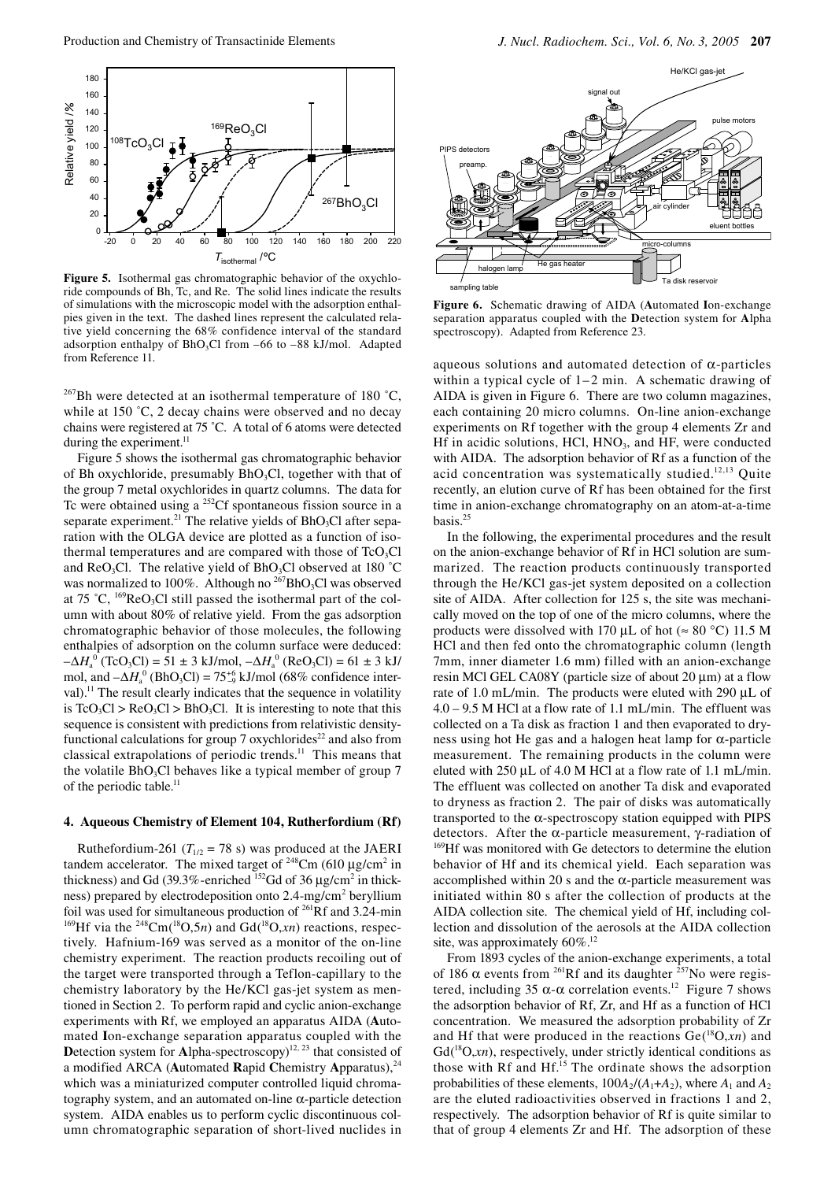

**Figure 5.** Isothermal gas chromatographic behavior of the oxychloride compounds of Bh, Tc, and Re. The solid lines indicate the results of simulations with the microscopic model with the adsorption enthalpies given in the text. The dashed lines represent the calculated relative yield concerning the 68% confidence interval of the standard adsorption enthalpy of BhO<sub>3</sub>Cl from -66 to -88 kJ/mol. Adapted from Reference 11.

 $267$ Bh were detected at an isothermal temperature of 180 °C, while at 150 °C, 2 decay chains were observed and no decay chains were registered at 75 ˚C. A total of 6 atoms were detected during the experiment.<sup>11</sup>

Figure 5 shows the isothermal gas chromatographic behavior of Bh oxychloride, presumably  $BhO_3Cl$ , together with that of the group 7 metal oxychlorides in quartz columns. The data for Tc were obtained using a <sup>252</sup>Cf spontaneous fission source in a separate experiment.<sup>21</sup> The relative yields of BhO<sub>3</sub>Cl after separation with the OLGA device are plotted as a function of isothermal temperatures and are compared with those of  $TcO_3Cl$ and ReO<sub>3</sub>Cl. The relative yield of BhO<sub>3</sub>Cl observed at 180  $^{\circ}$ C was normalized to 100%. Although no  $^{267}BhO_3Cl$  was observed at 75 °C,  $^{169}$ ReO<sub>3</sub>Cl still passed the isothermal part of the column with about 80% of relative yield. From the gas adsorption chromatographic behavior of those molecules, the following enthalpies of adsorption on the column surface were deduced:  $-\Delta H_a^0$  (TcO<sub>3</sub>Cl) = 51 ± 3 kJ/mol,  $-\Delta H_a^0$  (ReO<sub>3</sub>Cl) = 61 ± 3 kJ/ mol, and  $-\Delta H_a^0$  (BhO<sub>3</sub>Cl) = 75<sup>+6</sup><sub>-9</sub> kJ/mol (68% confidence interval).<sup>11</sup> The result clearly indicates that the sequence in volatility is  $TcO_3Cl > ReO_3Cl > BhO_3Cl$ . It is interesting to note that this sequence is consistent with predictions from relativistic densityfunctional calculations for group  $7$  oxychlorides<sup>22</sup> and also from classical extrapolations of periodic trends.<sup>11</sup> This means that the volatile  $BhO_3Cl$  behaves like a typical member of group 7 of the periodic table.<sup>11</sup>

## **4. Aqueous Chemistry of Element 104, Rutherfordium (Rf)**

Ruthefordium-261 ( $T_{1/2}$  = 78 s) was produced at the JAERI tandem accelerator. The mixed target of  $248$ Cm (610 µg/cm<sup>2</sup> in thickness) and Gd (39.3%-enriched  $152$ Gd of 36  $\mu$ g/cm<sup>2</sup> in thickness) prepared by electrodeposition onto 2.4-mg/cm<sup>2</sup> beryllium foil was used for simultaneous production of <sup>261</sup>Rf and 3.24-min <sup>169</sup>Hf via the <sup>248</sup>Cm(<sup>18</sup>O,5*n*) and Gd(<sup>18</sup>O,*xn*) reactions, respectively. Hafnium-169 was served as a monitor of the on-line chemistry experiment. The reaction products recoiling out of the target were transported through a Teflon-capillary to the chemistry laboratory by the He/KCl gas-jet system as mentioned in Section 2. To perform rapid and cyclic anion-exchange experiments with Rf, we employed an apparatus AIDA (**A**utomated **I**on-exchange separation apparatus coupled with the Detection system for Alpha-spectroscopy)<sup>12, 23</sup> that consisted of a modified ARCA (Automated Rapid Chemistry Apparatus),<sup>24</sup> which was a miniaturized computer controlled liquid chromatography system, and an automated on-line α-particle detection system. AIDA enables us to perform cyclic discontinuous column chromatographic separation of short-lived nuclides in



**Figure 6.** Schematic drawing of AIDA (**A**utomated **I**on-exchange separation apparatus coupled with the **D**etection system for **A**lpha spectroscopy). Adapted from Reference 23.

aqueous solutions and automated detection of  $\alpha$ -particles within a typical cycle of  $1-2$  min. A schematic drawing of AIDA is given in Figure 6. There are two column magazines, each containing 20 micro columns. On-line anion-exchange experiments on Rf together with the group 4 elements Zr and Hf in acidic solutions, HCl,  $HNO<sub>3</sub>$ , and HF, were conducted with AIDA. The adsorption behavior of Rf as a function of the acid concentration was systematically studied.<sup>12,13</sup> Quite recently, an elution curve of Rf has been obtained for the first time in anion-exchange chromatography on an atom-at-a-time basis. $<sup>2</sup>$ </sup>

In the following, the experimental procedures and the result on the anion-exchange behavior of Rf in HCl solution are summarized. The reaction products continuously transported through the He/KCl gas-jet system deposited on a collection site of AIDA. After collection for 125 s, the site was mechanically moved on the top of one of the micro columns, where the products were dissolved with 170  $\mu$ L of hot ( $\approx 80$  °C) 11.5 M HCl and then fed onto the chromatographic column (length 7mm, inner diameter 1.6 mm) filled with an anion-exchange resin MCl GEL CA08Y (particle size of about  $20 \mu m$ ) at a flow rate of 1.0 mL/min. The products were eluted with 290 µL of 4.0 – 9.5 M HCl at a flow rate of 1.1 mL/min. The effluent was collected on a Ta disk as fraction 1 and then evaporated to dryness using hot He gas and a halogen heat lamp for α-particle measurement. The remaining products in the column were eluted with 250 µL of 4.0 M HCl at a flow rate of 1.1 mL/min. The effluent was collected on another Ta disk and evaporated to dryness as fraction 2. The pair of disks was automatically transported to the α-spectroscopy station equipped with PIPS detectors. After the α-particle measurement, γ-radiation of  $169$ Hf was monitored with Ge detectors to determine the elution behavior of Hf and its chemical yield. Each separation was accomplished within 20 s and the  $\alpha$ -particle measurement was initiated within 80 s after the collection of products at the AIDA collection site. The chemical yield of Hf, including collection and dissolution of the aerosols at the AIDA collection site, was approximately 60%.<sup>12</sup>

From 1893 cycles of the anion-exchange experiments, a total of 186  $\alpha$  events from <sup>261</sup>Rf and its daughter <sup>257</sup>No were registered, including 35  $\alpha$ - $\alpha$  correlation events.<sup>12</sup> Figure 7 shows the adsorption behavior of Rf, Zr, and Hf as a function of HCl concentration. We measured the adsorption probability of Zr and Hf that were produced in the reactions  $Ge^{18}O(xn)$  and  $Gd(^{18}O, xn)$ , respectively, under strictly identical conditions as those with Rf and Hf.15 The ordinate shows the adsorption probabilities of these elements,  $100A_2/(A_1+A_2)$ , where  $A_1$  and  $A_2$ are the eluted radioactivities observed in fractions 1 and 2, respectively. The adsorption behavior of Rf is quite similar to that of group 4 elements Zr and Hf. The adsorption of these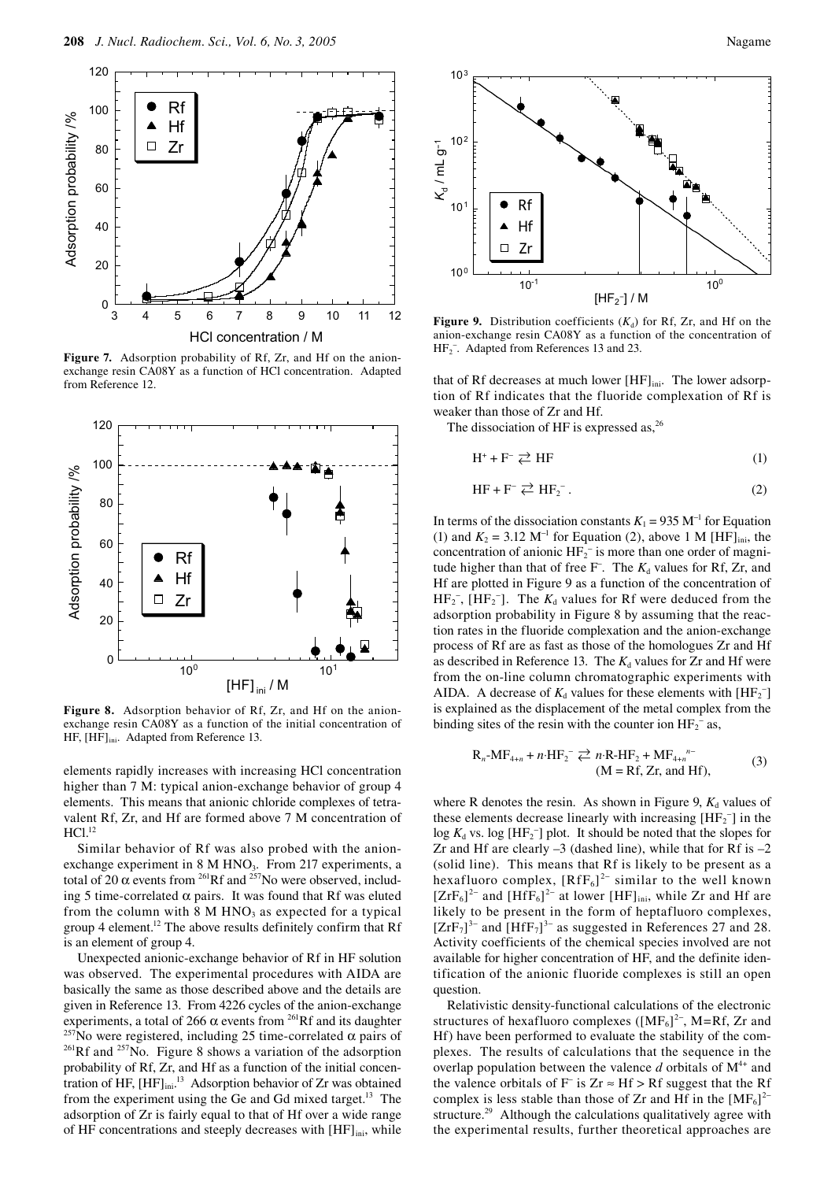

**Figure 7.** Adsorption probability of Rf, Zr, and Hf on the anionexchange resin CA08Y as a function of HCl concentration. Adapted from Reference 12.



**Figure 8.** Adsorption behavior of Rf, Zr, and Hf on the anionexchange resin CA08Y as a function of the initial concentration of HF, [HF]<sub>ini</sub>. Adapted from Reference 13.

elements rapidly increases with increasing HCl concentration higher than 7 M: typical anion-exchange behavior of group 4 elements. This means that anionic chloride complexes of tetravalent Rf, Zr, and Hf are formed above 7 M concentration of  $HCl.<sup>12</sup>$ 

Similar behavior of Rf was also probed with the anionexchange experiment in 8 M HNO<sub>3</sub>. From 217 experiments, a total of 20  $\alpha$  events from <sup>261</sup>Rf and <sup>257</sup>No were observed, including 5 time-correlated  $\alpha$  pairs. It was found that Rf was eluted from the column with  $8$  M HNO<sub>3</sub> as expected for a typical group 4 element.<sup>12</sup> The above results definitely confirm that Rf is an element of group 4.

Unexpected anionic-exchange behavior of Rf in HF solution was observed. The experimental procedures with AIDA are basically the same as those described above and the details are given in Reference 13. From 4226 cycles of the anion-exchange experiments, a total of 266 α events from <sup>261</sup>Rf and its daughter <sup>257</sup>No were registered, including 25 time-correlated α pairs of <sup>261</sup>Rf and <sup>257</sup>No. Figure 8 shows a variation of the adsorption probability of Rf, Zr, and Hf as a function of the initial concentration of HF,  $[HF]_{\text{ini}}$ .<sup>13</sup> Adsorption behavior of Zr was obtained from the experiment using the Ge and Gd mixed target.<sup>13</sup> The adsorption of Zr is fairly equal to that of Hf over a wide range of HF concentrations and steeply decreases with [HF]<sub>ini</sub>, while



**Figure 9.** Distribution coefficients  $(K_d)$  for Rf, Zr, and Hf on the anion-exchange resin CA08Y as a function of the concentration of  $HF_2^-$ . Adapted from References 13 and 23.

that of Rf decreases at much lower  $[HF]_{ini}$ . The lower adsorption of Rf indicates that the fluoride complexation of Rf is weaker than those of Zr and Hf.

The dissociation of HF is expressed as,  $26$ 

$$
H^+ + F^- \rightleftarrows HF \tag{1}
$$

$$
HF + F^- \stackrel{\rightharpoonup}{\leftarrow} HF_2^- \,. \tag{2}
$$

In terms of the dissociation constants  $K_1 = 935 \text{ M}^{-1}$  for Equation (1) and  $K_2 = 3.12 \text{ M}^{-1}$  for Equation (2), above 1 M [HF]<sub>ini</sub>, the concentration of anionic  $HF_2^-$  is more than one order of magnitude higher than that of free F<sup>-</sup>. The  $K_d$  values for Rf, Zr, and Hf are plotted in Figure 9 as a function of the concentration of  $HF_2^-$ ,  $[HF_2^-]$ . The  $K_d$  values for Rf were deduced from the adsorption probability in Figure 8 by assuming that the reaction rates in the fluoride complexation and the anion-exchange process of Rf are as fast as those of the homologues Zr and Hf as described in Reference 13. The  $K_d$  values for Zr and Hf were from the on-line column chromatographic experiments with AIDA. A decrease of  $K_d$  values for these elements with  $[HF_2^-]$ is explained as the displacement of the metal complex from the binding sites of the resin with the counter ion  $HF_2^-$  as,

$$
R_n - MF_{4+n} + n \cdot HF_2^- \stackrel{\text{def}}{\Leftrightarrow} n \cdot R - HF_2 + MF_{4+n}^{n-}
$$
  
(M = Rf, Zr, and Hf), (3)

where R denotes the resin. As shown in Figure 9,  $K_d$  values of these elements decrease linearly with increasing  $[HF_2^-]$  in the  $\log K_d$  vs.  $\log [\text{HF}_2^-]$  plot. It should be noted that the slopes for Zr and Hf are clearly  $-3$  (dashed line), while that for Rf is  $-2$ (solid line). This means that Rf is likely to be present as a hexafluoro complex,  $[RfF_6]^{2-}$  similar to the well known  $[ZrF_6]^2$ <sup>-</sup> and  $[HfF_6]^2$ <sup>-</sup> at lower  $[HF]_{\text{ini}}$ , while Zr and Hf are likely to be present in the form of heptafluoro complexes,  $[ZrF_7]^{3-}$  and  $[HfF_7]^{3-}$  as suggested in References 27 and 28. Activity coefficients of the chemical species involved are not available for higher concentration of HF, and the definite identification of the anionic fluoride complexes is still an open question.

Relativistic density-functional calculations of the electronic structures of hexafluoro complexes ( $[MF_6]^2$ <sup>-</sup>, M=Rf, Zr and Hf) have been performed to evaluate the stability of the complexes. The results of calculations that the sequence in the overlap population between the valence  $d$  orbitals of  $M^{4+}$  and the valence orbitals of F<sup>−</sup> is Zr  $\approx$  Hf > Rf suggest that the Rf complex is less stable than those of Zr and Hf in the  $[MF_6]^{2-}$ structure.<sup>29</sup> Although the calculations qualitatively agree with the experimental results, further theoretical approaches are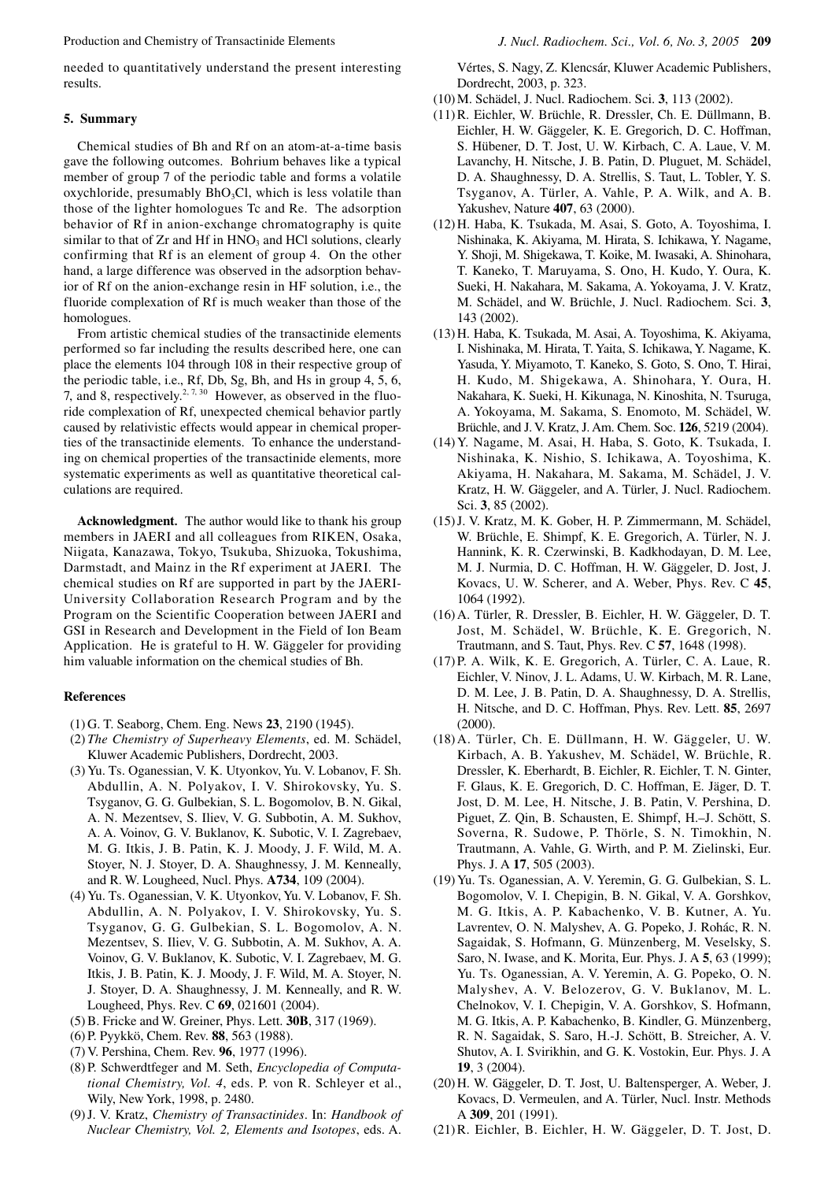Production and Chemistry of Transactinide Elements *J. Nucl. Radiochem. Sci., Vol. 6, No. 3, 2005* **209**

needed to quantitatively understand the present interesting results.

## **5. Summary**

Chemical studies of Bh and Rf on an atom-at-a-time basis gave the following outcomes. Bohrium behaves like a typical member of group 7 of the periodic table and forms a volatile oxychloride, presumably  $BhO_3Cl$ , which is less volatile than those of the lighter homologues Tc and Re. The adsorption behavior of Rf in anion-exchange chromatography is quite similar to that of  $Zr$  and  $Hf$  in  $HNO<sub>3</sub>$  and  $HCl$  solutions, clearly confirming that Rf is an element of group 4. On the other hand, a large difference was observed in the adsorption behavior of Rf on the anion-exchange resin in HF solution, i.e., the fluoride complexation of Rf is much weaker than those of the homologues.

From artistic chemical studies of the transactinide elements performed so far including the results described here, one can place the elements 104 through 108 in their respective group of the periodic table, i.e., Rf, Db, Sg, Bh, and Hs in group 4, 5, 6, 7, and 8, respectively.<sup>2, 7, 30</sup> However, as observed in the fluoride complexation of Rf, unexpected chemical behavior partly caused by relativistic effects would appear in chemical properties of the transactinide elements. To enhance the understanding on chemical properties of the transactinide elements, more systematic experiments as well as quantitative theoretical calculations are required.

**Acknowledgment***.* The author would like to thank his group members in JAERI and all colleagues from RIKEN, Osaka, Niigata, Kanazawa, Tokyo, Tsukuba, Shizuoka, Tokushima, Darmstadt, and Mainz in the Rf experiment at JAERI. The chemical studies on Rf are supported in part by the JAERI-University Collaboration Research Program and by the Program on the Scientific Cooperation between JAERI and GSI in Research and Development in the Field of Ion Beam Application. He is grateful to H. W. Gäggeler for providing him valuable information on the chemical studies of Bh.

## **References**

- (1) G. T. Seaborg, Chem. Eng. News **23**, 2190 (1945).
- (2) *The Chemistry of Superheavy Elements*, ed. M. Schädel, Kluwer Academic Publishers, Dordrecht, 2003.
- (3) Yu. Ts. Oganessian, V. K. Utyonkov, Yu. V. Lobanov, F. Sh. Abdullin, A. N. Polyakov, I. V. Shirokovsky, Yu. S. Tsyganov, G. G. Gulbekian, S. L. Bogomolov, B. N. Gikal, A. N. Mezentsev, S. Iliev, V. G. Subbotin, A. M. Sukhov, A. A. Voinov, G. V. Buklanov, K. Subotic, V. I. Zagrebaev, M. G. Itkis, J. B. Patin, K. J. Moody, J. F. Wild, M. A. Stoyer, N. J. Stoyer, D. A. Shaughnessy, J. M. Kenneally, and R. W. Lougheed, Nucl. Phys. **A734**, 109 (2004).
- (4) Yu. Ts. Oganessian, V. K. Utyonkov, Yu. V. Lobanov, F. Sh. Abdullin, A. N. Polyakov, I. V. Shirokovsky, Yu. S. Tsyganov, G. G. Gulbekian, S. L. Bogomolov, A. N. Mezentsev, S. Iliev, V. G. Subbotin, A. M. Sukhov, A. A. Voinov, G. V. Buklanov, K. Subotic, V. I. Zagrebaev, M. G. Itkis, J. B. Patin, K. J. Moody, J. F. Wild, M. A. Stoyer, N. J. Stoyer, D. A. Shaughnessy, J. M. Kenneally, and R. W. Lougheed, Phys. Rev. C **69**, 021601 (2004).
- (5) B. Fricke and W. Greiner, Phys. Lett. **30B**, 317 (1969).
- (6) P. Pyykkö, Chem. Rev. **88**, 563 (1988).
- (7) V. Pershina, Chem. Rev. **96**, 1977 (1996).
- (8) P. Schwerdtfeger and M. Seth, *Encyclopedia of Computational Chemistry, Vol. 4*, eds. P. von R. Schleyer et al., Wily, New York, 1998, p. 2480.
- (9) J. V. Kratz, *Chemistry of Transactinides*. In: *Handbook of Nuclear Chemistry, Vol. 2, Elements and Isotopes*, eds. A.

Vértes, S. Nagy, Z. Klencsár, Kluwer Academic Publishers, Dordrecht, 2003, p. 323.

- (10) M. Schädel, J. Nucl. Radiochem. Sci. **3**, 113 (2002).
- (11) R. Eichler, W. Brüchle, R. Dressler, Ch. E. Düllmann, B. Eichler, H. W. Gäggeler, K. E. Gregorich, D. C. Hoffman, S. Hübener, D. T. Jost, U. W. Kirbach, C. A. Laue, V. M. Lavanchy, H. Nitsche, J. B. Patin, D. Pluguet, M. Schädel, D. A. Shaughnessy, D. A. Strellis, S. Taut, L. Tobler, Y. S. Tsyganov, A. Türler, A. Vahle, P. A. Wilk, and A. B. Yakushev, Nature **407**, 63 (2000).
- (12) H. Haba, K. Tsukada, M. Asai, S. Goto, A. Toyoshima, I. Nishinaka, K. Akiyama, M. Hirata, S. Ichikawa, Y. Nagame, Y. Shoji, M. Shigekawa, T. Koike, M. Iwasaki, A. Shinohara, T. Kaneko, T. Maruyama, S. Ono, H. Kudo, Y. Oura, K. Sueki, H. Nakahara, M. Sakama, A. Yokoyama, J. V. Kratz, M. Schädel, and W. Brüchle, J. Nucl. Radiochem. Sci. **3**, 143 (2002).
- (13) H. Haba, K. Tsukada, M. Asai, A. Toyoshima, K. Akiyama, I. Nishinaka, M. Hirata, T. Yaita, S. Ichikawa, Y. Nagame, K. Yasuda, Y. Miyamoto, T. Kaneko, S. Goto, S. Ono, T. Hirai, H. Kudo, M. Shigekawa, A. Shinohara, Y. Oura, H. Nakahara, K. Sueki, H. Kikunaga, N. Kinoshita, N. Tsuruga, A. Yokoyama, M. Sakama, S. Enomoto, M. Schädel, W. Brüchle, and J. V. Kratz, J. Am. Chem. Soc. **126**, 5219 (2004).
- (14) Y. Nagame, M. Asai, H. Haba, S. Goto, K. Tsukada, I. Nishinaka, K. Nishio, S. Ichikawa, A. Toyoshima, K. Akiyama, H. Nakahara, M. Sakama, M. Schädel, J. V. Kratz, H. W. Gäggeler, and A. Türler, J. Nucl. Radiochem. Sci. **3**, 85 (2002).
- (15) J. V. Kratz, M. K. Gober, H. P. Zimmermann, M. Schädel, W. Brüchle, E. Shimpf, K. E. Gregorich, A. Türler, N. J. Hannink, K. R. Czerwinski, B. Kadkhodayan, D. M. Lee, M. J. Nurmia, D. C. Hoffman, H. W. Gäggeler, D. Jost, J. Kovacs, U. W. Scherer, and A. Weber, Phys. Rev. C **45**, 1064 (1992).
- (16) A. Türler, R. Dressler, B. Eichler, H. W. Gäggeler, D. T. Jost, M. Schädel, W. Brüchle, K. E. Gregorich, N. Trautmann, and S. Taut, Phys. Rev. C **57**, 1648 (1998).
- (17) P. A. Wilk, K. E. Gregorich, A. Türler, C. A. Laue, R. Eichler, V. Ninov, J. L. Adams, U. W. Kirbach, M. R. Lane, D. M. Lee, J. B. Patin, D. A. Shaughnessy, D. A. Strellis, H. Nitsche, and D. C. Hoffman, Phys. Rev. Lett. **85**, 2697 (2000).
- (18) A. Türler, Ch. E. Düllmann, H. W. Gäggeler, U. W. Kirbach, A. B. Yakushev, M. Schädel, W. Brüchle, R. Dressler, K. Eberhardt, B. Eichler, R. Eichler, T. N. Ginter, F. Glaus, K. E. Gregorich, D. C. Hoffman, E. Jäger, D. T. Jost, D. M. Lee, H. Nitsche, J. B. Patin, V. Pershina, D. Piguet, Z. Qin, B. Schausten, E. Shimpf, H.–J. Schött, S. Soverna, R. Sudowe, P. Thörle, S. N. Timokhin, N. Trautmann, A. Vahle, G. Wirth, and P. M. Zielinski, Eur. Phys. J. A **17**, 505 (2003).
- (19) Yu. Ts. Oganessian, A. V. Yeremin, G. G. Gulbekian, S. L. Bogomolov, V. I. Chepigin, B. N. Gikal, V. A. Gorshkov, M. G. Itkis, A. P. Kabachenko, V. B. Kutner, A. Yu. Lavrentev, O. N. Malyshev, A. G. Popeko, J. Rohác, R. N. Sagaidak, S. Hofmann, G. Münzenberg, M. Veselsky, S. Saro, N. Iwase, and K. Morita, Eur. Phys. J. A **5**, 63 (1999); Yu. Ts. Oganessian, A. V. Yeremin, A. G. Popeko, O. N. Malyshev, A. V. Belozerov, G. V. Buklanov, M. L. Chelnokov, V. I. Chepigin, V. A. Gorshkov, S. Hofmann, M. G. Itkis, A. P. Kabachenko, B. Kindler, G. Münzenberg, R. N. Sagaidak, S. Saro, H.-J. Schött, B. Streicher, A. V. Shutov, A. I. Svirikhin, and G. K. Vostokin, Eur. Phys. J. A **19**, 3 (2004).
- (20) H. W. Gäggeler, D. T. Jost, U. Baltensperger, A. Weber, J. Kovacs, D. Vermeulen, and A. Türler, Nucl. Instr. Methods A **309**, 201 (1991).
- (21) R. Eichler, B. Eichler, H. W. Gäggeler, D. T. Jost, D.